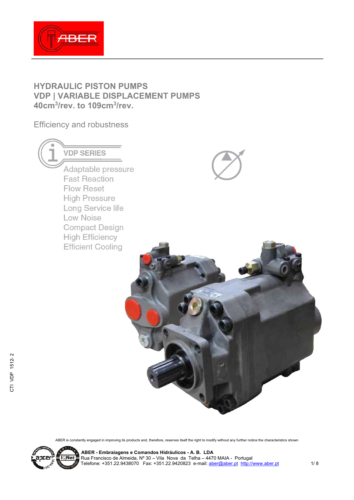

# **HYDRAULIC PISTON PUMPS VDP | VARIABLE DISPLACEMENT PUMPS 40cm3/rev. to 109cm3/rev.**

Efficiency and robustness

**VDP SERIES** Adaptable pressure **Fast Reaction** Flow Reset **High Pressure** Long Service life **Low Noise Compact Design High Efficiency Efficient Cooling** 





ABER is constantly engaged in improving its products and, therefore, reserves itself the right to modify without any further notice the characteristics shown



**ABER - Embraiagens e Comandos Hidráulicos - A. B. LDA \_JCEI E <u>I©Net =</u> Rua Francisco de Almeida, Nº 30 – Vila Nova da Telha – 4470 MAIA - Portugal** Telefone: +351.22.9438070 Fax: +351.22.9420823 e-mail:  $\frac{aber(\Omega aber)$  http://www.aber.pt 1/ 8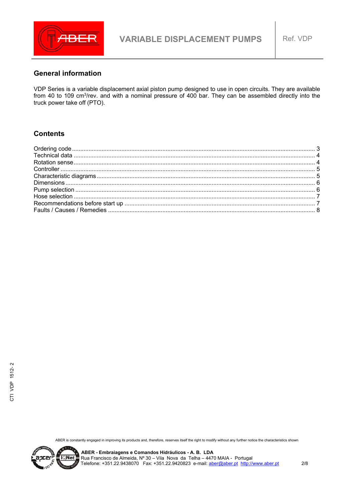

#### **General information**

VDP Series is a variable displacement axial piston pump designed to use in open circuits. They are available from 40 to 109 cm3/rev. and with a nominal pressure of 400 bar. They can be assembled directly into the truck power take off (PTO).

#### **Contents**

ABER is constantly engaged in improving its products and, therefore, reserves itself the right to modify without any further notice the characteristics shown



CTI VDP 1512- 2

CTI VDP 1512-2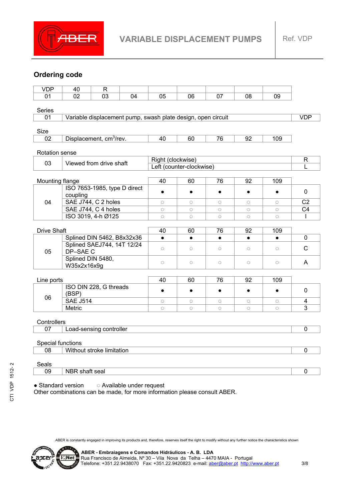

# **Ordering code**

| <b>VDP</b>                                             | 40                                                           | $\mathsf{R}$                 |                   |           |                          |           |             |              |                |
|--------------------------------------------------------|--------------------------------------------------------------|------------------------------|-------------------|-----------|--------------------------|-----------|-------------|--------------|----------------|
| 01                                                     | 02                                                           | 03                           | 04                | 05        | 06                       | 07        | 08          | 09           |                |
|                                                        |                                                              |                              |                   |           |                          |           |             |              |                |
| <b>Series</b>                                          |                                                              |                              |                   |           |                          |           |             |              |                |
| 01                                                     | Variable displacement pump, swash plate design, open circuit |                              |                   |           |                          |           | <b>VDP</b>  |              |                |
| Size                                                   |                                                              |                              |                   |           |                          |           |             |              |                |
| 02                                                     | Displacement, cm <sup>3</sup> /rev.                          |                              |                   | 40        | 60                       | 76        | 92          | 109          |                |
|                                                        |                                                              |                              |                   |           |                          |           |             |              |                |
| <b>Rotation sense</b>                                  |                                                              |                              |                   |           |                          |           |             |              |                |
| 03<br>Viewed from drive shaft                          |                                                              |                              | Right (clockwise) |           |                          |           |             | $\mathsf{R}$ |                |
|                                                        |                                                              |                              |                   |           | Left (counter-clockwise) |           |             |              | L              |
|                                                        |                                                              |                              |                   |           |                          |           |             |              |                |
| Mounting flange                                        |                                                              | ISO 7653-1985, type D direct |                   | 40        | 60                       | 76        | 92          | 109          |                |
|                                                        | coupling                                                     |                              |                   | $\bullet$ | $\bullet$                | $\bullet$ | $\bullet$   | $\bullet$    | $\mathbf 0$    |
| 04                                                     |                                                              | SAE J744, C 2 holes          |                   | $\circ$   | $\circ$                  | $\circ$   | $\circ$     | $\circ$      | C <sub>2</sub> |
|                                                        | SAE J744, C 4 holes                                          |                              |                   | $\circ$   | $\circ$                  | $\circ$   | $\circ$     | $\circ$      | C <sub>4</sub> |
|                                                        |                                                              | ISO 3019, 4-h Ø125           |                   | $\circ$   | $\circ$                  | $\circ$   | $\circ$     | $\circ$      | I.             |
|                                                        |                                                              |                              |                   |           |                          |           |             |              |                |
| <b>Drive Shaft</b>                                     |                                                              |                              | 40                | 60        | 76                       | 92        | 109         |              |                |
|                                                        |                                                              | Splined DIN 5462, B8x32x36   |                   | $\bullet$ | $\bullet$                | $\bullet$ | $\bullet$   | $\bullet$    | $\mathbf 0$    |
| 05                                                     | Splined SAEJ744, 14T 12/24<br>DP-SAE C                       |                              | $\circ$           | $\circ$   | $\circ$                  | $\circ$   | $\circ$     | $\mathsf{C}$ |                |
|                                                        | Splined DIN 5480,<br>W35x2x16x9g                             |                              |                   | $\circ$   | $\circ$                  | $\circ$   | $\circ$     | $\circ$      | A              |
|                                                        |                                                              |                              |                   |           |                          |           |             |              |                |
| Line ports                                             |                                                              |                              | 40                | 60        | 76                       | 92        | 109         |              |                |
|                                                        | (BSP)                                                        | ISO DIN 228, G threads       |                   | $\bullet$ | $\bullet$                | $\bullet$ | $\bullet$   | $\bullet$    | $\pmb{0}$      |
| 06                                                     | <b>SAE J514</b>                                              |                              |                   | $\circ$   | $\circ$                  | $\circ$   | $\circ$     | $\circ$      | 4              |
|                                                        | Metric                                                       |                              |                   | $\circ$   | $\circ$                  | $\circ$   | $\circ$     | $\circ$      | 3              |
| Controllers                                            |                                                              |                              |                   |           |                          |           |             |              |                |
| 07                                                     | Load-sensing controller                                      |                              |                   |           |                          |           | $\mathbf 0$ |              |                |
| Special functions                                      |                                                              |                              |                   |           |                          |           |             |              |                |
| 08                                                     | Without stroke limitation                                    |                              |                   |           |                          |           |             | 0            |                |
| Seals                                                  |                                                              |                              |                   |           |                          |           |             |              |                |
| 09                                                     | NBR shaft seal                                               |                              |                   |           |                          |           | 0           |              |                |
| • Standard version<br><b>O Available under request</b> |                                                              |                              |                   |           |                          |           |             |              |                |

Other combinations can be made, for more information please consult ABER.

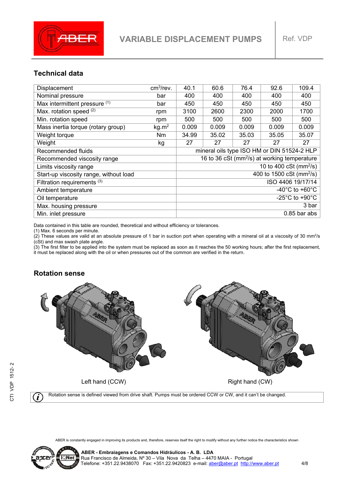

## **Technical data**

| Displacement                           | cm <sup>3</sup> /rev. | 40.1                                                     | 60.6  | 76.4  | 92.6  | 109.4 |
|----------------------------------------|-----------------------|----------------------------------------------------------|-------|-------|-------|-------|
| Nominal pressure                       | bar                   | 400                                                      | 400   | 400   | 400   | 400   |
| Max intermittent pressure (1)          | bar                   | 450                                                      | 450   | 450   | 450   | 450   |
| Max. rotation speed (2)                | rpm                   | 3100                                                     | 2600  | 2300  | 2000  | 1700  |
| Min. rotation speed                    | rpm                   | 500                                                      | 500   | 500   | 500   | 500   |
| Mass inertia torque (rotary group)     | kg.m <sup>2</sup>     | 0.009                                                    | 0.009 | 0.009 | 0.009 | 0.009 |
| Weight torque                          | Nm                    | 34.99                                                    | 35.02 | 35.03 | 35.05 | 35.07 |
| Weight                                 | kg                    | 27                                                       | 27    | 27    | 27    | 27    |
| Recommended fluids                     |                       | mineral oils type ISO HM or DIN 51524-2 HLP              |       |       |       |       |
| Recommended viscosity range            |                       | 16 to 36 cSt (mm <sup>2</sup> /s) at working temperature |       |       |       |       |
| Limits viscosity range                 |                       | 10 to 400 cSt ( $mm^2$ /s)                               |       |       |       |       |
| Start-up viscosity range, without load |                       | 400 to $1500$ cSt (mm <sup>2</sup> /s)                   |       |       |       |       |
| Filtration requirements <sup>(3)</sup> |                       | ISO 4406 19/17/14                                        |       |       |       |       |
| Ambient temperature                    |                       | -40 $^{\circ}$ C to +60 $^{\circ}$ C                     |       |       |       |       |
| Oil temperature                        |                       | -25 $^{\circ}$ C to +90 $^{\circ}$ C                     |       |       |       |       |
| Max. housing pressure                  |                       |                                                          |       |       | 3 bar |       |
| Min. inlet pressure                    | $0.85$ bar abs        |                                                          |       |       |       |       |

Data contained in this table are rounded, theoretical and without efficiency or tolerances.

(1) Max. 6 seconds per minute.

(2) These values are valid at an absolute pressure of 1 bar in suction port when operating with a mineral oil at a viscosity of 30 mm<sup>2</sup>/s (cSt) and max swash plate angle.

(3) The first filter to be applied into the system must be replaced as soon as it reaches the 50 working hours; after the first replacement, it must be replaced along with the oil or when pressures out of the common are verified in the return.

#### **Rotation sense**



Rotation sense is defined viewed from drive shaft. Pumps must be ordered CCW or CW, and it can't be changed. i

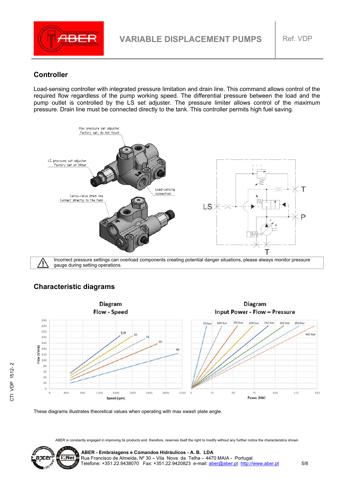

#### **Controller**

Load-sensing controller with integrated pressure limitation and drain line. This command allows control of the required flow regardless of the pump working speed. The differential pressure between the load and the pump outlet is controlled by the LS set adjuster. The pressure limiter allows control of the maximum pressure. Drain line must be connected directly to the tank. This controller permits high fuel saving.



gauge during setting operations.

## **Characteristic diagrams**



These diagrams illustrates theoretical values when operating with max swash plate angle.

ABER is constantly engaged in improving its products and, therefore, reserves itself the right to modify without any further notice the characteristics shown



 **ABER - Embraiagens e Comandos Hidráulicos - A. B. LDA**  Rua Francisco de Almeida, Nº 30 – Vila Nova da Telha – 4470 MAIA - Portugal Telefone: +351.22.9438070 Fax: +351.22.9420823 e-mail: **aber@aber.pt** http://www.aber.pt 5/8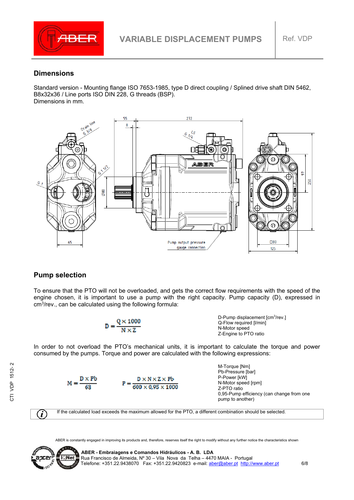

#### **Dimensions**

Standard version - Mounting flange ISO 7653-1985, type D direct coupling / Splined drive shaft DIN 5462, B8x32x36 / Line ports ISO DIN 228, G threads (BSP). Dimensions in mm.



## **Pump selection**

To ensure that the PTO will not be overloaded, and gets the correct flow requirements with the speed of the engine chosen, it is important to use a pump with the right capacity. Pump capacity (D), expressed in  $cm<sup>3</sup>/rev.$ , can be calculated using the following formula:

$$
D = \frac{Q \times 1000}{N \times Z}
$$
  
5.1000  
5.20 - 1000  
5.20 - 1000  
6.20 - 1000  
7.2 - 1000  
7.2 - 1000  
7.2 - 1000  
7.2 - 1000  
8.2 - 1000  
9.2 - 1000  
9.2 - 1000  
10.2 - 1000  
10.2 - 1000  
10.2 - 1000  
10.2 - 1000  
10.2 - 1000  
10.2 - 1000  
10.2 - 1000  
10.2 - 1000  
10.2 - 1000  
10.2 - 1000  
10.2 - 1000  
10.2 - 1000  
10.2 - 1000  
10.2 - 1000  
10.2 - 1000  
10.2 - 1000  
10.2 - 1000  
10.2 - 1000  
10.2 - 1000  
10.2 - 1000  
10.2 - 1000  
10.2 - 1000  
10.2 - 1000  
10.2 - 1000  
10.2 - 1000  
10.2 - 1000  
10.2 - 1000  
10.2 - 1000  
10.2 - 1000  
10.2 - 1000  
10.2 - 1000  
10.2 - 1000  
10.2 - 1000  
10.2 - 1000  
10.2 - 1000  
10.2 - 1000  
10.2 - 1000  
10.2 - 1000  
10.2 - 1000  
10.2 - 1000  
10.2 - 1000  
10.2 - 1000  
10.2 - 1000  
10.2 - 1000  
10.2 - 1000  
10.2 - 1000  
10.2 - 1000  
10.2 - 1000  
10.2 - 1000  
10.2 - 1000  
10.2 - 1000  
10.

In order to not overload the PTO's mechanical units, it is important to calculate the torque and power consumed by the pumps. Torque and power are calculated with the following expressions:



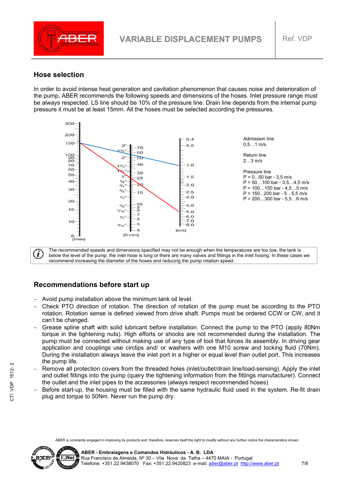

#### **Hose selection**

In order to avoid intense heat generation and cavitation phenomenon that causes noise and deterioration of the pump, ABER recommends the following speeds and dimensions of the hoses. Inlet pressure range must be always respected. LS line should be 10% of the pressure line. Drain line depends from the internal pump pressure it must be at least 15mm. All the hoses must be selected according the pressures.



The recommended speeds and dimensions specified may not be enough when the temperatures are too low, the tank is below the level of the pump, the inlet hose is long or there are many valves and fittings in the inlet hosing. In these cases we recommend increasing the diameter of the hoses and reducing the pump rotation speed.

#### **Recommendations before start up**

- Avoid pump installation above the minimum tank oil level.
- Check PTO direction of rotation. The direction of rotation of the pump must be according to the PTO rotation. Rotation sense is defined viewed from drive shaft. Pumps must be ordered CCW or CW, and it can't be changed.
- Grease spline shaft with solid lubricant before installation. Connect the pump to the PTO (apply 80Nm torque in the tightening nuts). High efforts or shocks are not recommended during the installation. The pump must be connected without making use of any type of tool that forces its assembly. In driving gear application and couplings use circlips and/ or washers with one M10 screw and locking fluid (70Nm). During the installation always leave the inlet port in a higher or equal level than outlet port. This increases the pump life.
- Remove all protection covers from the threaded holes (inlet/outlet/drain line/load-sensing). Apply the inlet and outlet fittings into the pump (query the tightening information from the fittings manufacturer). Connect the outlet and the inlet pipes to the accessories (always respect recommended hoses)
- Before start-up, the housing must be filled with the same hydraulic fluid used in the system. Re-fit drain plug and torque to 50Nm. Never run the pump dry.